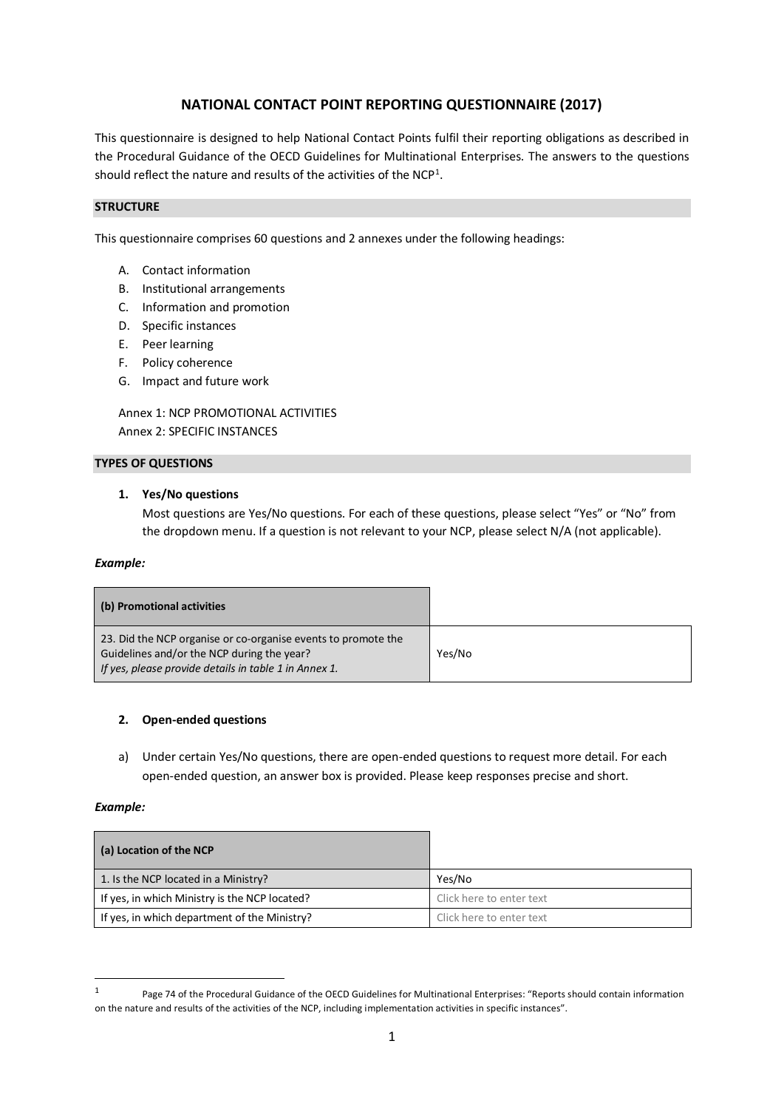# **NATIONAL CONTACT POINT REPORTING QUESTIONNAIRE (2017)**

This questionnaire is designed to help National Contact Points fulfil their reporting obligations as described in the Procedural Guidance of the OECD Guidelines for Multinational Enterprises. The answers to the questions should reflect the nature and results of the activities of the NCP<sup>1</sup>.

## **STRUCTURE**

This questionnaire comprises 60 questions and 2 annexes under the following headings:

- A. Contact information
- B. Institutional arrangements
- C. Information and promotion
- D. Specific instances
- E. Peer learning
- F. Policy coherence
- G. Impact and future work

Annex 1: NCP PROMOTIONAL ACTIVITIES Annex 2: SPECIFIC INSTANCES

## **TYPES OF QUESTIONS**

## **1. Yes/No questions**

Most questions are Yes/No questions. For each of these questions, please select "Yes" or "No" from the dropdown menu. If a question is not relevant to your NCP, please select N/A (not applicable).

## *Example:*

| (b) Promotional activities                                                                                                                                           |        |
|----------------------------------------------------------------------------------------------------------------------------------------------------------------------|--------|
| 23. Did the NCP organise or co-organise events to promote the<br>Guidelines and/or the NCP during the year?<br>If yes, please provide details in table 1 in Annex 1. | Yes/No |

## **2. Open-ended questions**

a) Under certain Yes/No questions, there are open-ended questions to request more detail. For each open-ended question, an answer box is provided. Please keep responses precise and short.

## *Example:*

1

| (a) Location of the NCP                       |                          |
|-----------------------------------------------|--------------------------|
| 1. Is the NCP located in a Ministry?          | Yes/No                   |
| If yes, in which Ministry is the NCP located? | Click here to enter text |
| If yes, in which department of the Ministry?  | Click here to enter text |

<sup>1</sup> Page 74 of the Procedural Guidance of the OECD Guidelines for Multinational Enterprises: "Reports should contain information on the nature and results of the activities of the NCP, including implementation activities in specific instances".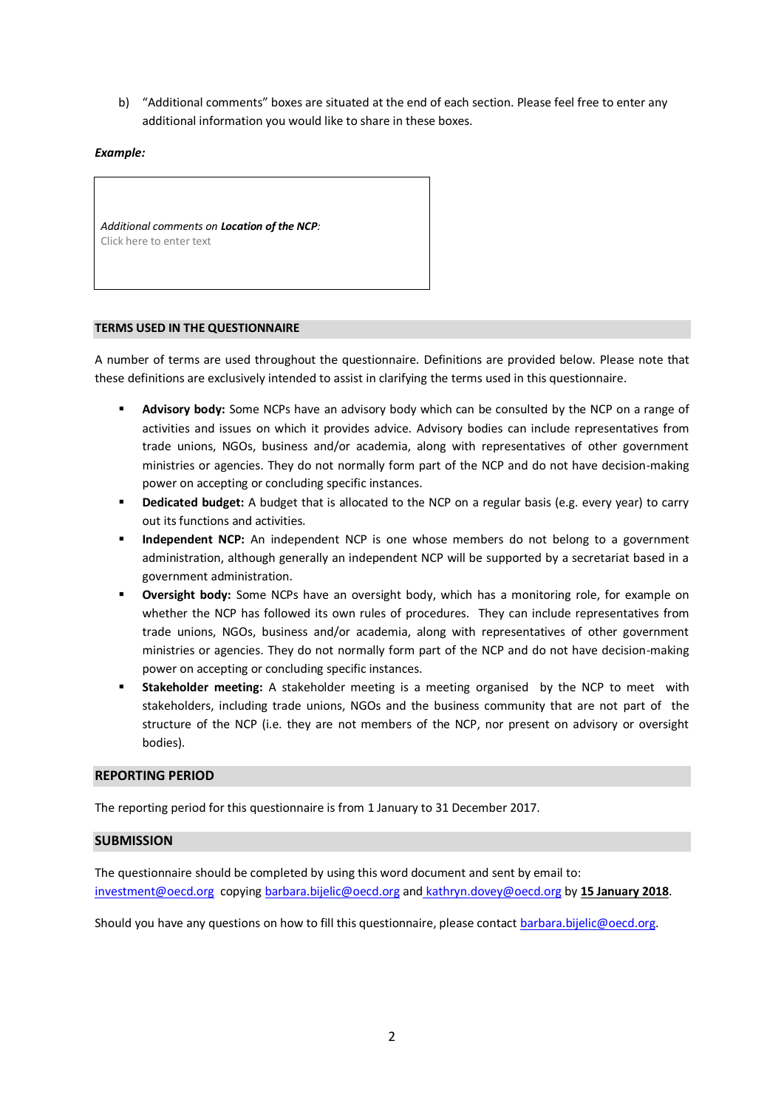b) "Additional comments" boxes are situated at the end of each section. Please feel free to enter any additional information you would like to share in these boxes.

*Example:*

*Additional comments on Location of the NCP:* Click here to enter text

#### **TERMS USED IN THE QUESTIONNAIRE**

A number of terms are used throughout the questionnaire. Definitions are provided below. Please note that these definitions are exclusively intended to assist in clarifying the terms used in this questionnaire.

- **Advisory body:** Some NCPs have an advisory body which can be consulted by the NCP on a range of activities and issues on which it provides advice. Advisory bodies can include representatives from trade unions, NGOs, business and/or academia, along with representatives of other government ministries or agencies. They do not normally form part of the NCP and do not have decision-making power on accepting or concluding specific instances.
- **Dedicated budget:** A budget that is allocated to the NCP on a regular basis (e.g. every year) to carry out its functions and activities.
- **Independent NCP:** An independent NCP is one whose members do not belong to a government administration, although generally an independent NCP will be supported by a secretariat based in a government administration.
- **Oversight body:** Some NCPs have an oversight body, which has a monitoring role, for example on whether the NCP has followed its own rules of procedures. They can include representatives from trade unions, NGOs, business and/or academia, along with representatives of other government ministries or agencies. They do not normally form part of the NCP and do not have decision-making power on accepting or concluding specific instances.
- **Stakeholder meeting:** A stakeholder meeting is a meeting organised by the NCP to meet with stakeholders, including trade unions, NGOs and the business community that are not part of the structure of the NCP (i.e. they are not members of the NCP, nor present on advisory or oversight bodies).

#### **REPORTING PERIOD**

The reporting period for this questionnaire is from 1 January to 31 December 2017.

## **SUBMISSION**

The questionnaire should be completed by using this word document and sent by email to: [investment@oecd.org](mailto:investment@oecd.org) copying [barbara.bijelic@oecd.org](mailto:alison.holm@oecd.org) and [kathryn.dovey@oecd.org](mailto:kathryn.dovey@oecd.org) by **15 January 2018**.

Should you have any questions on how to fill this questionnaire, please contact [barbara.bijelic@oecd.org.](mailto:alison.holm@oecd.org)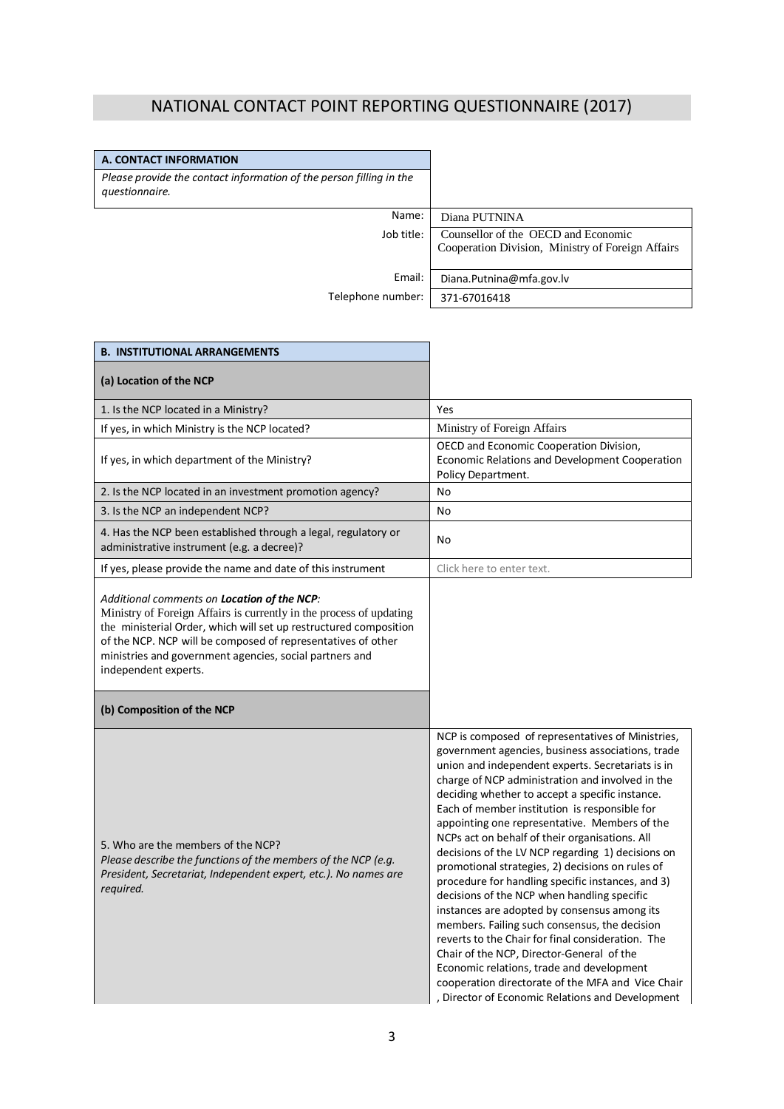# NATIONAL CONTACT POINT REPORTING QUESTIONNAIRE (2017)

| A. CONTACT INFORMATION                                                                |                                                                                          |
|---------------------------------------------------------------------------------------|------------------------------------------------------------------------------------------|
| Please provide the contact information of the person filling in the<br>questionnaire. |                                                                                          |
| Name:                                                                                 | Diana PUTNINA                                                                            |
| Job title:                                                                            | Counsellor of the OECD and Economic<br>Cooperation Division, Ministry of Foreign Affairs |
|                                                                                       |                                                                                          |
| Email:                                                                                | Diana.Putnina@mfa.gov.lv                                                                 |
| Telephone number:                                                                     | 371-67016418                                                                             |

 $\mathbf{r}$ 

 $\overline{\phantom{a}}$ 

| <b>B. INSTITUTIONAL ARRANGEMENTS</b>                                                                                                                                                                                                                                                                                                               |                                                                                                                                                                                                                                                                                                                                                                                                                                                                                                                                                                                                                                                                                                                                                                                                                                                                                                                                                                                              |
|----------------------------------------------------------------------------------------------------------------------------------------------------------------------------------------------------------------------------------------------------------------------------------------------------------------------------------------------------|----------------------------------------------------------------------------------------------------------------------------------------------------------------------------------------------------------------------------------------------------------------------------------------------------------------------------------------------------------------------------------------------------------------------------------------------------------------------------------------------------------------------------------------------------------------------------------------------------------------------------------------------------------------------------------------------------------------------------------------------------------------------------------------------------------------------------------------------------------------------------------------------------------------------------------------------------------------------------------------------|
| (a) Location of the NCP                                                                                                                                                                                                                                                                                                                            |                                                                                                                                                                                                                                                                                                                                                                                                                                                                                                                                                                                                                                                                                                                                                                                                                                                                                                                                                                                              |
| 1. Is the NCP located in a Ministry?                                                                                                                                                                                                                                                                                                               | Yes                                                                                                                                                                                                                                                                                                                                                                                                                                                                                                                                                                                                                                                                                                                                                                                                                                                                                                                                                                                          |
| If yes, in which Ministry is the NCP located?                                                                                                                                                                                                                                                                                                      | Ministry of Foreign Affairs                                                                                                                                                                                                                                                                                                                                                                                                                                                                                                                                                                                                                                                                                                                                                                                                                                                                                                                                                                  |
| If yes, in which department of the Ministry?                                                                                                                                                                                                                                                                                                       | OECD and Economic Cooperation Division,<br>Economic Relations and Development Cooperation<br>Policy Department.                                                                                                                                                                                                                                                                                                                                                                                                                                                                                                                                                                                                                                                                                                                                                                                                                                                                              |
| 2. Is the NCP located in an investment promotion agency?                                                                                                                                                                                                                                                                                           | No                                                                                                                                                                                                                                                                                                                                                                                                                                                                                                                                                                                                                                                                                                                                                                                                                                                                                                                                                                                           |
| 3. Is the NCP an independent NCP?                                                                                                                                                                                                                                                                                                                  | No                                                                                                                                                                                                                                                                                                                                                                                                                                                                                                                                                                                                                                                                                                                                                                                                                                                                                                                                                                                           |
| 4. Has the NCP been established through a legal, regulatory or<br>administrative instrument (e.g. a decree)?                                                                                                                                                                                                                                       | No                                                                                                                                                                                                                                                                                                                                                                                                                                                                                                                                                                                                                                                                                                                                                                                                                                                                                                                                                                                           |
| If yes, please provide the name and date of this instrument                                                                                                                                                                                                                                                                                        | Click here to enter text.                                                                                                                                                                                                                                                                                                                                                                                                                                                                                                                                                                                                                                                                                                                                                                                                                                                                                                                                                                    |
| Additional comments on <b>Location of the NCP</b> :<br>Ministry of Foreign Affairs is currently in the process of updating<br>the ministerial Order, which will set up restructured composition<br>of the NCP. NCP will be composed of representatives of other<br>ministries and government agencies, social partners and<br>independent experts. |                                                                                                                                                                                                                                                                                                                                                                                                                                                                                                                                                                                                                                                                                                                                                                                                                                                                                                                                                                                              |
| (b) Composition of the NCP                                                                                                                                                                                                                                                                                                                         |                                                                                                                                                                                                                                                                                                                                                                                                                                                                                                                                                                                                                                                                                                                                                                                                                                                                                                                                                                                              |
| 5. Who are the members of the NCP?<br>Please describe the functions of the members of the NCP (e.g.<br>President, Secretariat, Independent expert, etc.). No names are<br>required.                                                                                                                                                                | NCP is composed of representatives of Ministries,<br>government agencies, business associations, trade<br>union and independent experts. Secretariats is in<br>charge of NCP administration and involved in the<br>deciding whether to accept a specific instance.<br>Each of member institution is responsible for<br>appointing one representative. Members of the<br>NCPs act on behalf of their organisations. All<br>decisions of the LV NCP regarding 1) decisions on<br>promotional strategies, 2) decisions on rules of<br>procedure for handling specific instances, and 3)<br>decisions of the NCP when handling specific<br>instances are adopted by consensus among its<br>members. Failing such consensus, the decision<br>reverts to the Chair for final consideration. The<br>Chair of the NCP, Director-General of the<br>Economic relations, trade and development<br>cooperation directorate of the MFA and Vice Chair<br>, Director of Economic Relations and Development |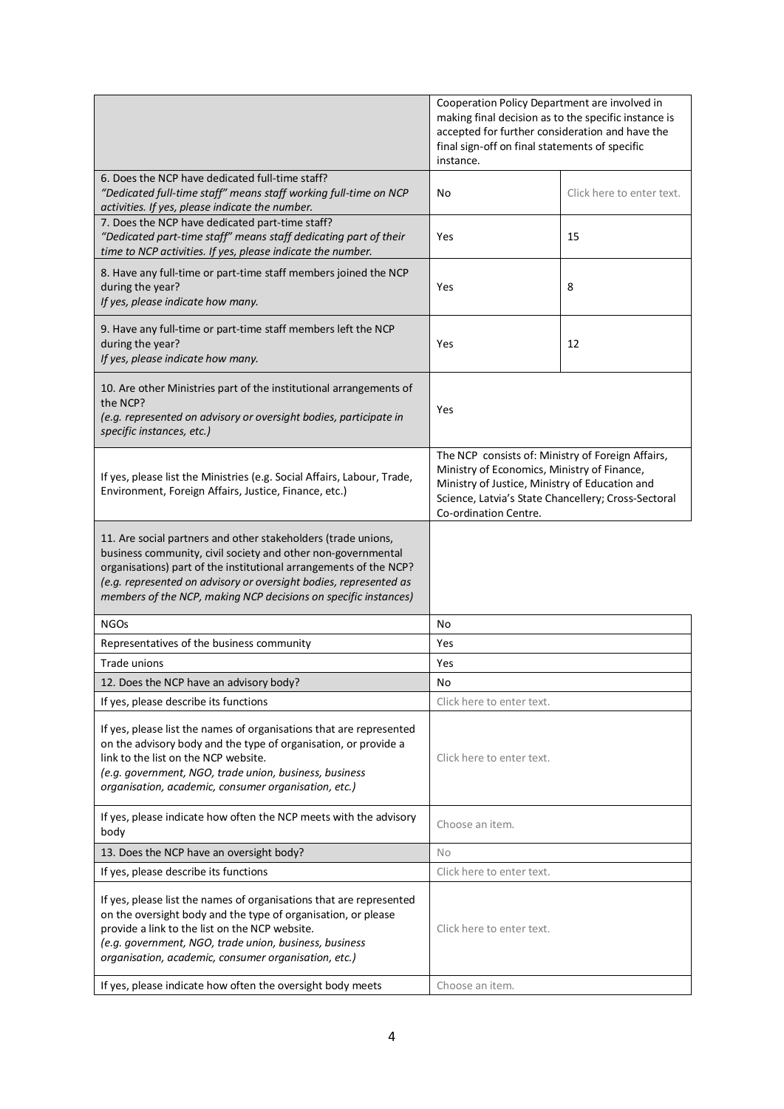|                                                                                                                                                                                                                                                                                                                                            | Cooperation Policy Department are involved in<br>making final decision as to the specific instance is<br>accepted for further consideration and have the<br>final sign-off on final statements of specific<br>instance.            |                           |
|--------------------------------------------------------------------------------------------------------------------------------------------------------------------------------------------------------------------------------------------------------------------------------------------------------------------------------------------|------------------------------------------------------------------------------------------------------------------------------------------------------------------------------------------------------------------------------------|---------------------------|
| 6. Does the NCP have dedicated full-time staff?<br>"Dedicated full-time staff" means staff working full-time on NCP<br>activities. If yes, please indicate the number.                                                                                                                                                                     | No                                                                                                                                                                                                                                 | Click here to enter text. |
| 7. Does the NCP have dedicated part-time staff?<br>"Dedicated part-time staff" means staff dedicating part of their<br>time to NCP activities. If yes, please indicate the number.                                                                                                                                                         | Yes                                                                                                                                                                                                                                | 15                        |
| 8. Have any full-time or part-time staff members joined the NCP<br>during the year?<br>If yes, please indicate how many.                                                                                                                                                                                                                   | Yes                                                                                                                                                                                                                                | 8                         |
| 9. Have any full-time or part-time staff members left the NCP<br>during the year?<br>If yes, please indicate how many.                                                                                                                                                                                                                     | Yes                                                                                                                                                                                                                                | 12                        |
| 10. Are other Ministries part of the institutional arrangements of<br>the NCP?<br>(e.g. represented on advisory or oversight bodies, participate in<br>specific instances, etc.)                                                                                                                                                           | Yes                                                                                                                                                                                                                                |                           |
| If yes, please list the Ministries (e.g. Social Affairs, Labour, Trade,<br>Environment, Foreign Affairs, Justice, Finance, etc.)                                                                                                                                                                                                           | The NCP consists of: Ministry of Foreign Affairs,<br>Ministry of Economics, Ministry of Finance,<br>Ministry of Justice, Ministry of Education and<br>Science, Latvia's State Chancellery; Cross-Sectoral<br>Co-ordination Centre. |                           |
| 11. Are social partners and other stakeholders (trade unions,<br>business community, civil society and other non-governmental<br>organisations) part of the institutional arrangements of the NCP?<br>(e.g. represented on advisory or oversight bodies, represented as<br>members of the NCP, making NCP decisions on specific instances) |                                                                                                                                                                                                                                    |                           |
| <b>NGOs</b>                                                                                                                                                                                                                                                                                                                                | No                                                                                                                                                                                                                                 |                           |
| Representatives of the business community                                                                                                                                                                                                                                                                                                  | Yes                                                                                                                                                                                                                                |                           |
| Trade unions                                                                                                                                                                                                                                                                                                                               | Yes                                                                                                                                                                                                                                |                           |
| 12. Does the NCP have an advisory body?                                                                                                                                                                                                                                                                                                    | No                                                                                                                                                                                                                                 |                           |
| If yes, please describe its functions                                                                                                                                                                                                                                                                                                      | Click here to enter text.                                                                                                                                                                                                          |                           |
| If yes, please list the names of organisations that are represented<br>on the advisory body and the type of organisation, or provide a<br>link to the list on the NCP website.<br>(e.g. government, NGO, trade union, business, business<br>organisation, academic, consumer organisation, etc.)                                           | Click here to enter text.                                                                                                                                                                                                          |                           |
| If yes, please indicate how often the NCP meets with the advisory<br>body                                                                                                                                                                                                                                                                  | Choose an item.                                                                                                                                                                                                                    |                           |
| 13. Does the NCP have an oversight body?                                                                                                                                                                                                                                                                                                   | No                                                                                                                                                                                                                                 |                           |
| If yes, please describe its functions                                                                                                                                                                                                                                                                                                      | Click here to enter text.                                                                                                                                                                                                          |                           |
| If yes, please list the names of organisations that are represented<br>on the oversight body and the type of organisation, or please                                                                                                                                                                                                       |                                                                                                                                                                                                                                    |                           |
| provide a link to the list on the NCP website.<br>(e.g. government, NGO, trade union, business, business<br>organisation, academic, consumer organisation, etc.)                                                                                                                                                                           | Click here to enter text.                                                                                                                                                                                                          |                           |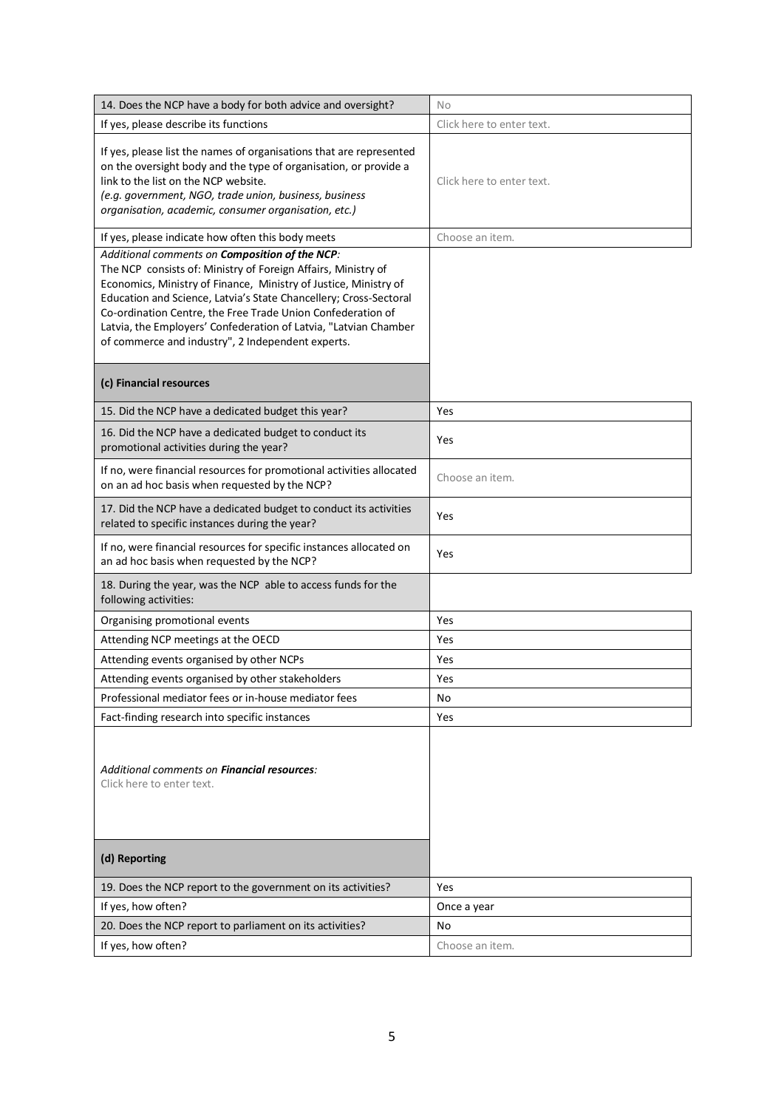| 14. Does the NCP have a body for both advice and oversight?                                                                                                                                                                                                                                                                                                                                                                                      | No                        |
|--------------------------------------------------------------------------------------------------------------------------------------------------------------------------------------------------------------------------------------------------------------------------------------------------------------------------------------------------------------------------------------------------------------------------------------------------|---------------------------|
| If yes, please describe its functions                                                                                                                                                                                                                                                                                                                                                                                                            | Click here to enter text. |
| If yes, please list the names of organisations that are represented<br>on the oversight body and the type of organisation, or provide a<br>link to the list on the NCP website.<br>(e.g. government, NGO, trade union, business, business<br>organisation, academic, consumer organisation, etc.)                                                                                                                                                | Click here to enter text. |
| If yes, please indicate how often this body meets                                                                                                                                                                                                                                                                                                                                                                                                | Choose an item.           |
| Additional comments on Composition of the NCP:<br>The NCP consists of: Ministry of Foreign Affairs, Ministry of<br>Economics, Ministry of Finance, Ministry of Justice, Ministry of<br>Education and Science, Latvia's State Chancellery; Cross-Sectoral<br>Co-ordination Centre, the Free Trade Union Confederation of<br>Latvia, the Employers' Confederation of Latvia, "Latvian Chamber<br>of commerce and industry", 2 Independent experts. |                           |
| (c) Financial resources                                                                                                                                                                                                                                                                                                                                                                                                                          |                           |
| 15. Did the NCP have a dedicated budget this year?                                                                                                                                                                                                                                                                                                                                                                                               | Yes                       |
| 16. Did the NCP have a dedicated budget to conduct its<br>promotional activities during the year?                                                                                                                                                                                                                                                                                                                                                | Yes                       |
| If no, were financial resources for promotional activities allocated<br>on an ad hoc basis when requested by the NCP?                                                                                                                                                                                                                                                                                                                            | Choose an item.           |
| 17. Did the NCP have a dedicated budget to conduct its activities<br>related to specific instances during the year?                                                                                                                                                                                                                                                                                                                              | Yes                       |
| If no, were financial resources for specific instances allocated on<br>an ad hoc basis when requested by the NCP?                                                                                                                                                                                                                                                                                                                                | Yes                       |
| 18. During the year, was the NCP able to access funds for the<br>following activities:                                                                                                                                                                                                                                                                                                                                                           |                           |
| Organising promotional events                                                                                                                                                                                                                                                                                                                                                                                                                    | Yes                       |
| Attending NCP meetings at the OECD                                                                                                                                                                                                                                                                                                                                                                                                               | Yes                       |
| Attending events organised by other NCPs                                                                                                                                                                                                                                                                                                                                                                                                         | Yes                       |
| Attending events organised by other stakeholders                                                                                                                                                                                                                                                                                                                                                                                                 | Yes                       |
| Professional mediator fees or in-house mediator fees                                                                                                                                                                                                                                                                                                                                                                                             | No                        |
| Fact-finding research into specific instances                                                                                                                                                                                                                                                                                                                                                                                                    | Yes                       |
| Additional comments on <b>Financial resources</b> :<br>Click here to enter text.                                                                                                                                                                                                                                                                                                                                                                 |                           |
| (d) Reporting                                                                                                                                                                                                                                                                                                                                                                                                                                    |                           |
| 19. Does the NCP report to the government on its activities?                                                                                                                                                                                                                                                                                                                                                                                     | Yes                       |
| If yes, how often?                                                                                                                                                                                                                                                                                                                                                                                                                               | Once a year               |
| 20. Does the NCP report to parliament on its activities?                                                                                                                                                                                                                                                                                                                                                                                         | No                        |
| If yes, how often?                                                                                                                                                                                                                                                                                                                                                                                                                               | Choose an item.           |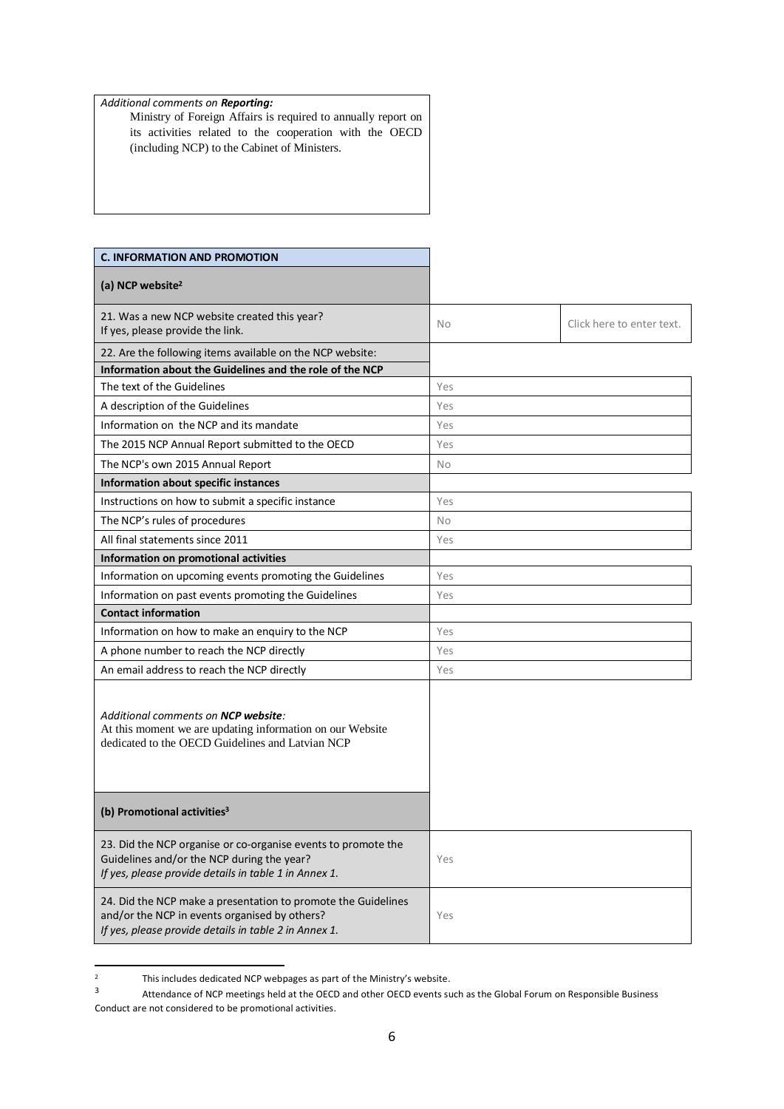## *Additional comments on Reporting:*

Ministry of Foreign Affairs is required to annually report on its activities related to the cooperation with the OECD (including NCP) to the Cabinet of Ministers.

| <b>C. INFORMATION AND PROMOTION</b>                                                                                                                                     |           |                           |
|-------------------------------------------------------------------------------------------------------------------------------------------------------------------------|-----------|---------------------------|
| (a) NCP website <sup>2</sup>                                                                                                                                            |           |                           |
| 21. Was a new NCP website created this year?<br>If yes, please provide the link.                                                                                        | <b>No</b> | Click here to enter text. |
| 22. Are the following items available on the NCP website:                                                                                                               |           |                           |
| Information about the Guidelines and the role of the NCP                                                                                                                |           |                           |
| The text of the Guidelines                                                                                                                                              | Yes       |                           |
| A description of the Guidelines                                                                                                                                         | Yes       |                           |
| Information on the NCP and its mandate                                                                                                                                  | Yes       |                           |
| The 2015 NCP Annual Report submitted to the OECD                                                                                                                        | Yes       |                           |
| The NCP's own 2015 Annual Report                                                                                                                                        | No        |                           |
| Information about specific instances                                                                                                                                    |           |                           |
| Instructions on how to submit a specific instance                                                                                                                       | Yes       |                           |
| The NCP's rules of procedures                                                                                                                                           | <b>No</b> |                           |
| All final statements since 2011                                                                                                                                         | Yes       |                           |
| Information on promotional activities                                                                                                                                   |           |                           |
| Information on upcoming events promoting the Guidelines                                                                                                                 | Yes       |                           |
| Information on past events promoting the Guidelines                                                                                                                     | Yes       |                           |
| <b>Contact information</b>                                                                                                                                              |           |                           |
| Information on how to make an enquiry to the NCP                                                                                                                        | Yes       |                           |
| A phone number to reach the NCP directly                                                                                                                                | Yes       |                           |
| An email address to reach the NCP directly                                                                                                                              | Yes       |                           |
| Additional comments on <b>NCP website</b> :<br>At this moment we are updating information on our Website<br>dedicated to the OECD Guidelines and Latvian NCP            |           |                           |
| (b) Promotional activities <sup>3</sup>                                                                                                                                 |           |                           |
| 23. Did the NCP organise or co-organise events to promote the<br>Guidelines and/or the NCP during the year?<br>If yes, please provide details in table 1 in Annex 1.    | Yes       |                           |
| 24. Did the NCP make a presentation to promote the Guidelines<br>and/or the NCP in events organised by others?<br>If yes, please provide details in table 2 in Annex 1. | Yes       |                           |

 $\overline{2}$ <sup>2</sup> This includes dedicated NCP webpages as part of the Ministry's website.

<sup>3</sup> Attendance of NCP meetings held at the OECD and other OECD events such as the Global Forum on Responsible Business Conduct are not considered to be promotional activities.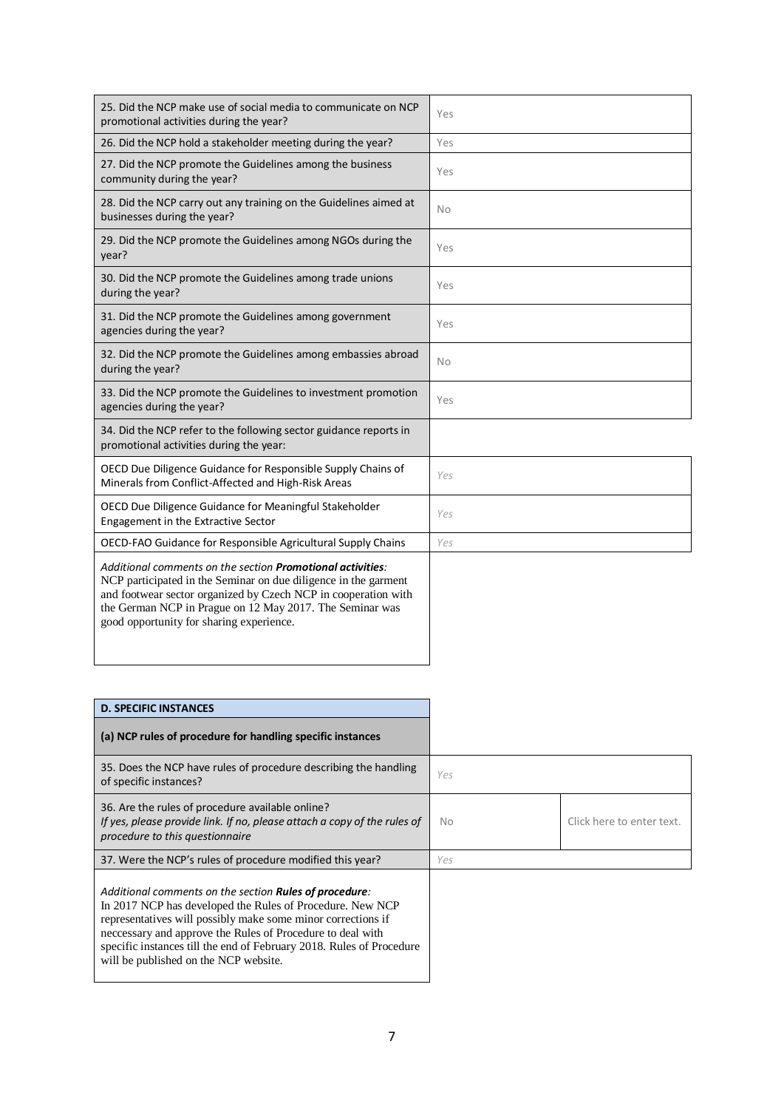| 25. Did the NCP make use of social media to communicate on NCP<br>promotional activities during the year?                                                                                                                                                                                               | Yes       |
|---------------------------------------------------------------------------------------------------------------------------------------------------------------------------------------------------------------------------------------------------------------------------------------------------------|-----------|
| 26. Did the NCP hold a stakeholder meeting during the year?                                                                                                                                                                                                                                             | Yes       |
| 27. Did the NCP promote the Guidelines among the business<br>community during the year?                                                                                                                                                                                                                 | Yes       |
| 28. Did the NCP carry out any training on the Guidelines aimed at<br>businesses during the year?                                                                                                                                                                                                        | <b>No</b> |
| 29. Did the NCP promote the Guidelines among NGOs during the<br>year?                                                                                                                                                                                                                                   | Yes       |
| 30. Did the NCP promote the Guidelines among trade unions<br>during the year?                                                                                                                                                                                                                           | Yes       |
| 31. Did the NCP promote the Guidelines among government<br>agencies during the year?                                                                                                                                                                                                                    | Yes       |
| 32. Did the NCP promote the Guidelines among embassies abroad<br>during the year?                                                                                                                                                                                                                       | <b>No</b> |
| 33. Did the NCP promote the Guidelines to investment promotion<br>agencies during the year?                                                                                                                                                                                                             | Yes       |
| 34. Did the NCP refer to the following sector guidance reports in<br>promotional activities during the year:                                                                                                                                                                                            |           |
| OECD Due Diligence Guidance for Responsible Supply Chains of<br>Minerals from Conflict-Affected and High-Risk Areas                                                                                                                                                                                     | Yes       |
| OECD Due Diligence Guidance for Meaningful Stakeholder<br>Engagement in the Extractive Sector                                                                                                                                                                                                           | Yes       |
| OECD-FAO Guidance for Responsible Agricultural Supply Chains                                                                                                                                                                                                                                            | Yes       |
| Additional comments on the section Promotional activities:<br>NCP participated in the Seminar on due diligence in the garment<br>and footwear sector organized by Czech NCP in cooperation with<br>the German NCP in Prague on 12 May 2017. The Seminar was<br>good opportunity for sharing experience. |           |

| <b>D. SPECIFIC INSTANCES</b>                                                                                                                                                                                                                                                                                                                                               |     |                           |
|----------------------------------------------------------------------------------------------------------------------------------------------------------------------------------------------------------------------------------------------------------------------------------------------------------------------------------------------------------------------------|-----|---------------------------|
| (a) NCP rules of procedure for handling specific instances                                                                                                                                                                                                                                                                                                                 |     |                           |
| 35. Does the NCP have rules of procedure describing the handling<br>of specific instances?                                                                                                                                                                                                                                                                                 | Yes |                           |
| 36. Are the rules of procedure available online?<br>If yes, please provide link. If no, please attach a copy of the rules of<br>procedure to this questionnaire                                                                                                                                                                                                            | No  | Click here to enter text. |
| 37. Were the NCP's rules of procedure modified this year?                                                                                                                                                                                                                                                                                                                  | Yes |                           |
| Additional comments on the section <b>Rules of procedure</b> :<br>In 2017 NCP has developed the Rules of Procedure. New NCP<br>representatives will possibly make some minor corrections if<br>neccessary and approve the Rules of Procedure to deal with<br>specific instances till the end of February 2018. Rules of Procedure<br>will be published on the NCP website. |     |                           |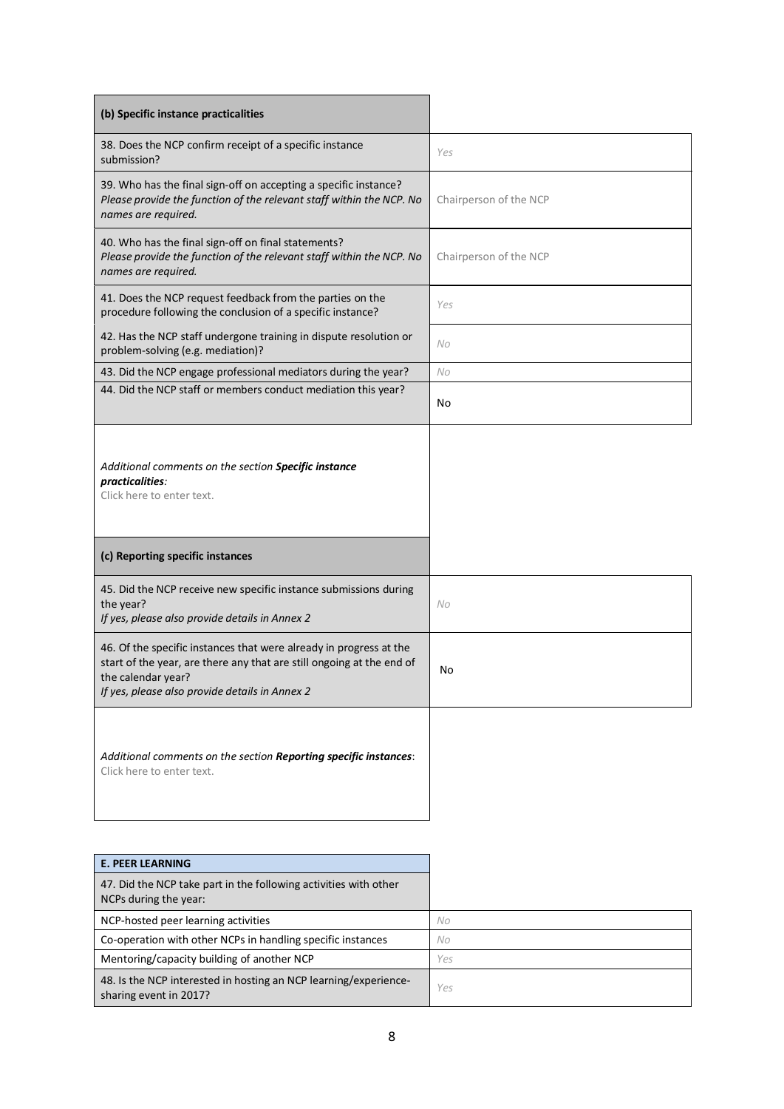| (b) Specific instance practicalities                                                                                                                                                                                |                        |
|---------------------------------------------------------------------------------------------------------------------------------------------------------------------------------------------------------------------|------------------------|
| 38. Does the NCP confirm receipt of a specific instance<br>submission?                                                                                                                                              | Yes                    |
| 39. Who has the final sign-off on accepting a specific instance?<br>Please provide the function of the relevant staff within the NCP. No<br>names are required.                                                     | Chairperson of the NCP |
| 40. Who has the final sign-off on final statements?<br>Please provide the function of the relevant staff within the NCP. No<br>names are required.                                                                  | Chairperson of the NCP |
| 41. Does the NCP request feedback from the parties on the<br>procedure following the conclusion of a specific instance?                                                                                             | Yes                    |
| 42. Has the NCP staff undergone training in dispute resolution or<br>problem-solving (e.g. mediation)?                                                                                                              | No                     |
| 43. Did the NCP engage professional mediators during the year?                                                                                                                                                      | No                     |
| 44. Did the NCP staff or members conduct mediation this year?                                                                                                                                                       | No                     |
| Additional comments on the section Specific instance<br>practicalities:<br>Click here to enter text.                                                                                                                |                        |
| (c) Reporting specific instances                                                                                                                                                                                    |                        |
| 45. Did the NCP receive new specific instance submissions during<br>the year?<br>If yes, please also provide details in Annex 2                                                                                     | No                     |
| 46. Of the specific instances that were already in progress at the<br>start of the year, are there any that are still ongoing at the end of<br>the calendar year?<br>If yes, please also provide details in Annex 2 | No                     |
| Additional comments on the section Reporting specific instances:<br>Click here to enter text.                                                                                                                       |                        |

| <b>E. PEER LEARNING</b>                                                                    |     |
|--------------------------------------------------------------------------------------------|-----|
| 47. Did the NCP take part in the following activities with other<br>NCPs during the year:  |     |
| NCP-hosted peer learning activities                                                        | No  |
| Co-operation with other NCPs in handling specific instances                                | No  |
| Mentoring/capacity building of another NCP                                                 | Yes |
| 48. Is the NCP interested in hosting an NCP learning/experience-<br>sharing event in 2017? | Yes |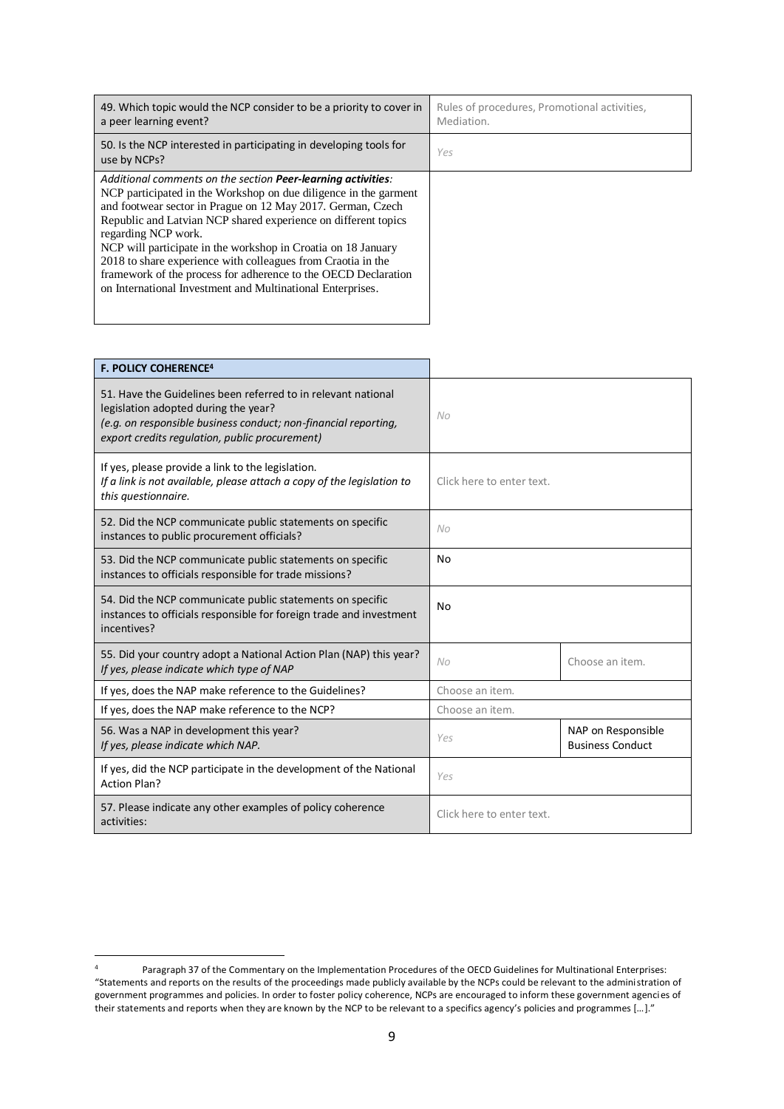| 49. Which topic would the NCP consider to be a priority to cover in<br>a peer learning event?                                                                                                                                                                                                                                                                                                                                                                                                                                                             | Rules of procedures, Promotional activities,<br>Mediation. |
|-----------------------------------------------------------------------------------------------------------------------------------------------------------------------------------------------------------------------------------------------------------------------------------------------------------------------------------------------------------------------------------------------------------------------------------------------------------------------------------------------------------------------------------------------------------|------------------------------------------------------------|
| 50. Is the NCP interested in participating in developing tools for<br>use by NCPs?                                                                                                                                                                                                                                                                                                                                                                                                                                                                        | Yes                                                        |
| Additional comments on the section Peer-learning activities:<br>NCP participated in the Workshop on due diligence in the garment<br>and footwear sector in Prague on 12 May 2017. German, Czech<br>Republic and Latvian NCP shared experience on different topics<br>regarding NCP work.<br>NCP will participate in the workshop in Croatia on 18 January<br>2018 to share experience with colleagues from Craotia in the<br>framework of the process for adherence to the OECD Declaration<br>on International Investment and Multinational Enterprises. |                                                            |

| <b>F. POLICY COHERENCE<sup>4</sup></b>                                                                                                                                                                                     |                           |                                               |  |
|----------------------------------------------------------------------------------------------------------------------------------------------------------------------------------------------------------------------------|---------------------------|-----------------------------------------------|--|
| 51. Have the Guidelines been referred to in relevant national<br>legislation adopted during the year?<br>(e.g. on responsible business conduct; non-financial reporting,<br>export credits regulation, public procurement) | No                        |                                               |  |
| If yes, please provide a link to the legislation.<br>If a link is not available, please attach a copy of the legislation to<br>this questionnaire.                                                                         | Click here to enter text. |                                               |  |
| 52. Did the NCP communicate public statements on specific<br>instances to public procurement officials?                                                                                                                    | No                        |                                               |  |
| 53. Did the NCP communicate public statements on specific<br>instances to officials responsible for trade missions?                                                                                                        | No                        |                                               |  |
| 54. Did the NCP communicate public statements on specific<br>instances to officials responsible for foreign trade and investment<br>incentives?                                                                            | No                        |                                               |  |
| 55. Did your country adopt a National Action Plan (NAP) this year?<br>If yes, please indicate which type of NAP                                                                                                            | N <sub>O</sub>            | Choose an item.                               |  |
| If yes, does the NAP make reference to the Guidelines?                                                                                                                                                                     | Choose an item.           |                                               |  |
| If yes, does the NAP make reference to the NCP?                                                                                                                                                                            | Choose an item.           |                                               |  |
| 56. Was a NAP in development this year?<br>If yes, please indicate which NAP.                                                                                                                                              | Yes                       | NAP on Responsible<br><b>Business Conduct</b> |  |
| If yes, did the NCP participate in the development of the National<br><b>Action Plan?</b>                                                                                                                                  | Yes                       |                                               |  |
| 57. Please indicate any other examples of policy coherence<br>activities:                                                                                                                                                  | Click here to enter text. |                                               |  |

**.** 

<sup>4</sup> Paragraph 37 of the Commentary on the Implementation Procedures of the OECD Guidelines for Multinational Enterprises: "Statements and reports on the results of the proceedings made publicly available by the NCPs could be relevant to the administration of government programmes and policies. In order to foster policy coherence, NCPs are encouraged to inform these government agencies of their statements and reports when they are known by the NCP to be relevant to a specifics agency's policies and programmes […]."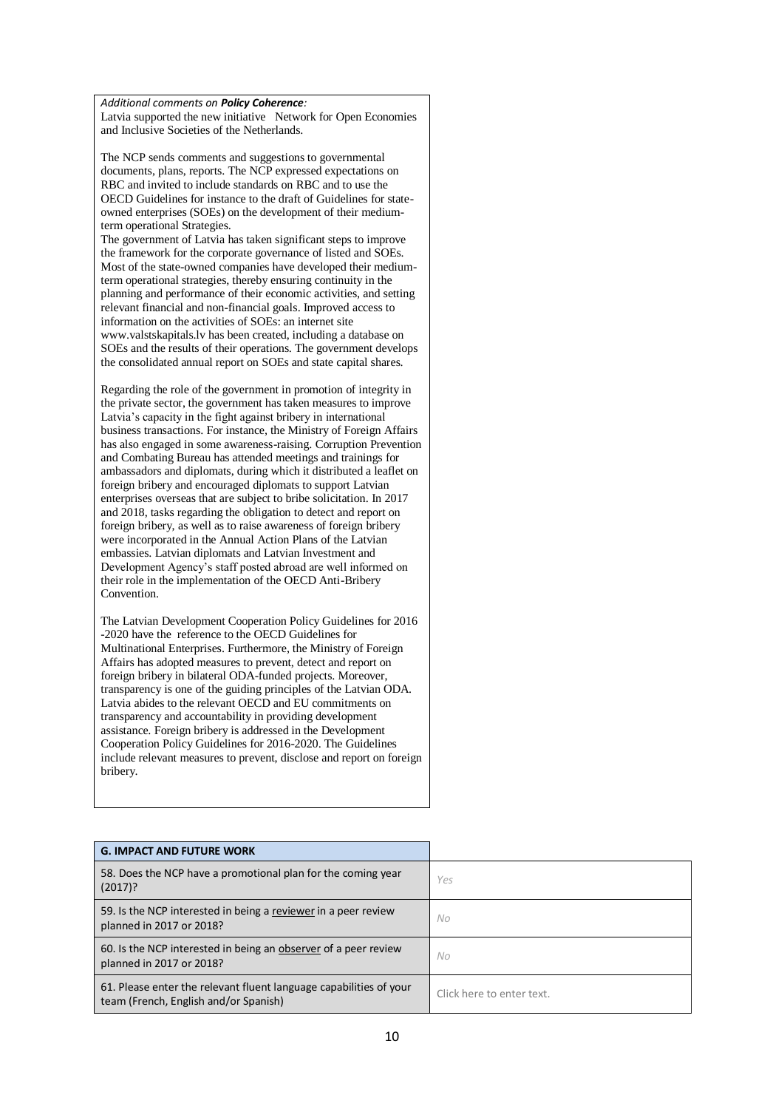#### *Additional comments on Policy Coherence:*

Latvia supported the new initiative Network for Open Economies and Inclusive Societies of the Netherlands.

The NCP sends comments and suggestions to governmental documents, plans, reports. The NCP expressed expectations on RBC and invited to include standards on RBC and to use the OECD Guidelines for instance to the draft of Guidelines for stateowned enterprises (SOEs) on the development of their mediumterm operational Strategies.

The government of Latvia has taken significant steps to improve the framework for the corporate governance of listed and SOEs. Most of the state-owned companies have developed their mediumterm operational strategies, thereby ensuring continuity in the planning and performance of their economic activities, and setting relevant financial and non-financial goals. Improved access to information on the activities of SOEs: an internet site www.valstskapitals.lv has been created, including a database on SOEs and the results of their operations. The government develops the consolidated annual report on SOEs and state capital shares.

Regarding the role of the government in promotion of integrity in the private sector, the government has taken measures to improve Latvia's capacity in the fight against bribery in international business transactions. For instance, the Ministry of Foreign Affairs has also engaged in some awareness-raising. Corruption Prevention and Combating Bureau has attended meetings and trainings for ambassadors and diplomats, during which it distributed a leaflet on foreign bribery and encouraged diplomats to support Latvian enterprises overseas that are subject to bribe solicitation. In 2017 and 2018, tasks regarding the obligation to detect and report on foreign bribery, as well as to raise awareness of foreign bribery were incorporated in the Annual Action Plans of the Latvian embassies. Latvian diplomats and Latvian Investment and Development Agency's staff posted abroad are well informed on their role in the implementation of the OECD Anti-Bribery Convention.

The Latvian Development Cooperation Policy Guidelines for 2016 -2020 have the reference to the OECD Guidelines for Multinational Enterprises. Furthermore, the Ministry of Foreign Affairs has adopted measures to prevent, detect and report on foreign bribery in bilateral ODA-funded projects. Moreover, transparency is one of the guiding principles of the Latvian ODA. Latvia abides to the relevant OECD and EU commitments on transparency and accountability in providing development assistance. Foreign bribery is addressed in the Development Cooperation Policy Guidelines for 2016-2020. The Guidelines include relevant measures to prevent, disclose and report on foreign bribery.

| <b>G. IMPACT AND FUTURE WORK</b>                                                                            |                           |
|-------------------------------------------------------------------------------------------------------------|---------------------------|
| 58. Does the NCP have a promotional plan for the coming year<br>$(2017)$ ?                                  | Yes                       |
| 59. Is the NCP interested in being a reviewer in a peer review<br>planned in 2017 or 2018?                  | No.                       |
| 60. Is the NCP interested in being an observer of a peer review<br>planned in 2017 or 2018?                 | No.                       |
| 61. Please enter the relevant fluent language capabilities of your<br>team (French, English and/or Spanish) | Click here to enter text. |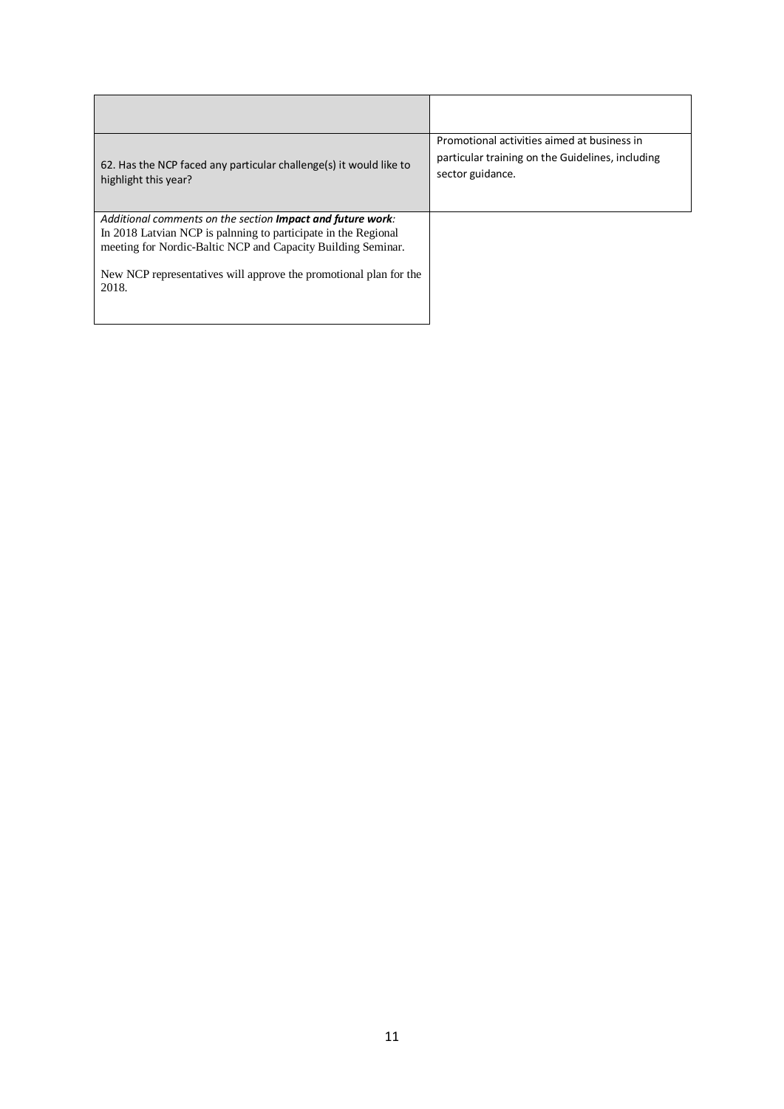| 62. Has the NCP faced any particular challenge(s) it would like to<br>highlight this year?                                                                                                                                                                                         | Promotional activities aimed at business in<br>particular training on the Guidelines, including<br>sector guidance. |
|------------------------------------------------------------------------------------------------------------------------------------------------------------------------------------------------------------------------------------------------------------------------------------|---------------------------------------------------------------------------------------------------------------------|
| Additional comments on the section <b>Impact and future work</b> :<br>In 2018 Latvian NCP is palnning to participate in the Regional<br>meeting for Nordic-Baltic NCP and Capacity Building Seminar.<br>New NCP representatives will approve the promotional plan for the<br>2018. |                                                                                                                     |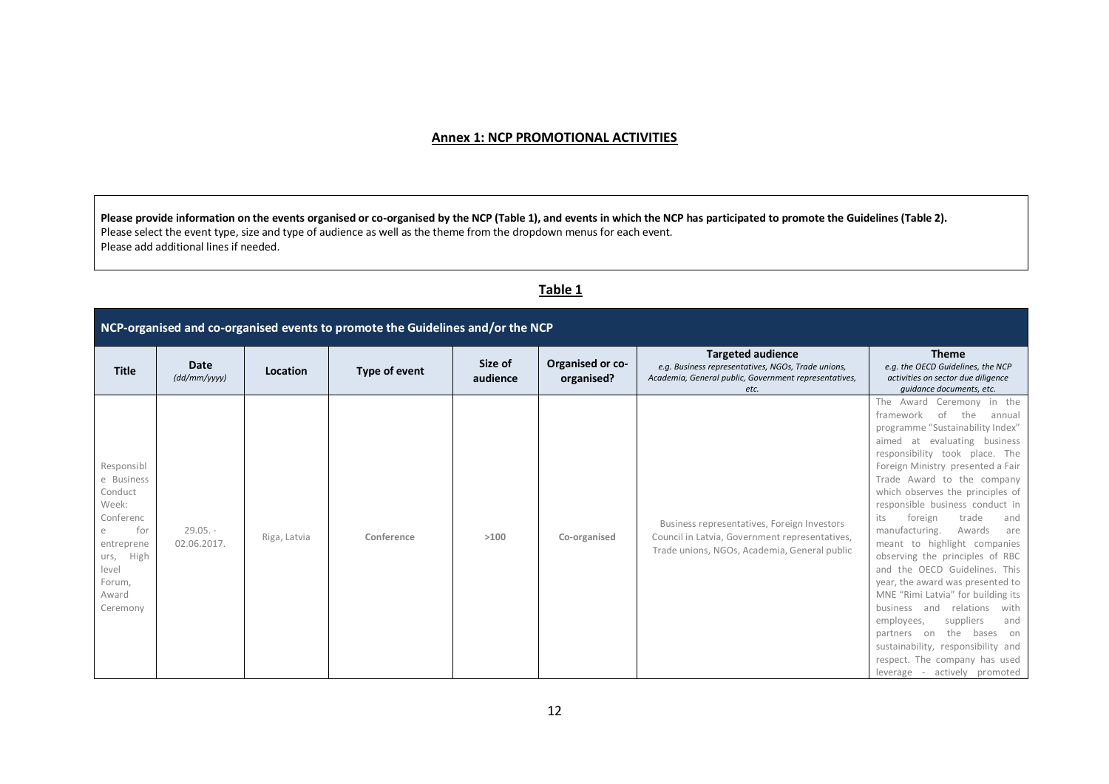## **Annex 1: NCP PROMOTIONAL ACTIVITIES**

**Please provide information on the events organised or co-organised by the NCP (Table 1), and events in which the NCP has participated to promote the Guidelines (Table 2).**  Please select the event type, size and type of audience as well as the theme from the dropdown menus for each event. Please add additional lines if needed.

# **Table 1**

| NCP-organised and co-organised events to promote the Guidelines and/or the NCP                                                         |                           |              |               |                     |                                |                                                                                                                                                 |                                                                                                                                                                                                                                                                                                                                                                                                                                                                                                                                                                                                                                                                                                                                                                                                    |
|----------------------------------------------------------------------------------------------------------------------------------------|---------------------------|--------------|---------------|---------------------|--------------------------------|-------------------------------------------------------------------------------------------------------------------------------------------------|----------------------------------------------------------------------------------------------------------------------------------------------------------------------------------------------------------------------------------------------------------------------------------------------------------------------------------------------------------------------------------------------------------------------------------------------------------------------------------------------------------------------------------------------------------------------------------------------------------------------------------------------------------------------------------------------------------------------------------------------------------------------------------------------------|
| <b>Title</b>                                                                                                                           | Date<br>(dd/mm/yyyy)      | Location     | Type of event | Size of<br>audience | Organised or co-<br>organised? | <b>Targeted audience</b><br>e.g. Business representatives, NGOs, Trade unions,<br>Academia, General public, Government representatives,<br>etc. | <b>Theme</b><br>e.g. the OECD Guidelines, the NCP<br>activities on sector due diligence<br>quidance documents, etc.                                                                                                                                                                                                                                                                                                                                                                                                                                                                                                                                                                                                                                                                                |
| Responsibl<br>e Business<br>Conduct<br>Week:<br>Conferenc<br>for<br>entreprene<br>High<br>urs,<br>level<br>Forum,<br>Award<br>Ceremony | $29.05. -$<br>02.06.2017. | Riga, Latvia | Conference    | >100                | Co-organised                   | Business representatives, Foreign Investors<br>Council in Latvia, Government representatives,<br>Trade unions, NGOs, Academia, General public   | The<br>Ceremony in the<br>Award<br>framework<br>of<br>the<br>annual<br>programme "Sustainability Index"<br>at evaluating business<br>aimed<br>responsibility took place. The<br>Foreign Ministry presented a Fair<br>Trade Award to the company<br>which observes the principles of<br>responsible business conduct in<br>trade<br>its<br>foreign<br>and<br>manufacturing.<br>Awards<br>are<br>meant to highlight companies<br>observing the principles of RBC<br>and the OECD Guidelines. This<br>year, the award was presented to<br>MNE "Rimi Latvia" for building its<br>relations<br>with<br>business<br>and<br>suppliers<br>and<br>employees,<br>the<br>bases<br>partners<br>on<br>on<br>sustainability, responsibility and<br>respect. The company has used<br>leverage - actively promoted |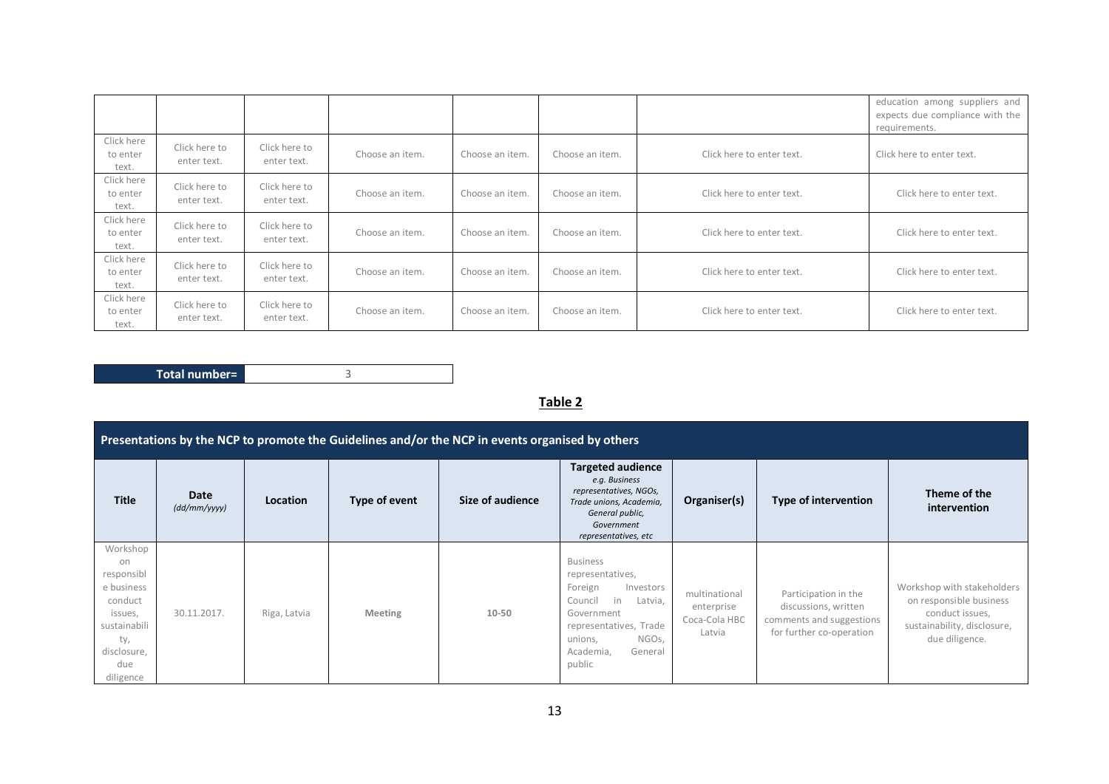|                                 |                              |                              |                 |                 |                 |                           | education among suppliers and<br>expects due compliance with the<br>requirements. |
|---------------------------------|------------------------------|------------------------------|-----------------|-----------------|-----------------|---------------------------|-----------------------------------------------------------------------------------|
| Click here<br>to enter<br>text. | Click here to<br>enter text. | Click here to<br>enter text. | Choose an item. | Choose an item. | Choose an item. | Click here to enter text. | Click here to enter text.                                                         |
| Click here<br>to enter<br>text. | Click here to<br>enter text. | Click here to<br>enter text. | Choose an item. | Choose an item. | Choose an item. | Click here to enter text. | Click here to enter text.                                                         |
| Click here<br>to enter<br>text. | Click here to<br>enter text. | Click here to<br>enter text. | Choose an item. | Choose an item. | Choose an item. | Click here to enter text. | Click here to enter text.                                                         |
| Click here<br>to enter<br>text. | Click here to<br>enter text. | Click here to<br>enter text. | Choose an item. | Choose an item. | Choose an item. | Click here to enter text. | Click here to enter text.                                                         |
| Click here<br>to enter<br>text. | Click here to<br>enter text. | Click here to<br>enter text. | Choose an item. | Choose an item. | Choose an item. | Click here to enter text. | Click here to enter text.                                                         |

Total number= 3

# **Table 2**

|                                                                                                                            | Presentations by the NCP to promote the Guidelines and/or the NCP in events organised by others |                 |               |                  |                                                                                                                                                                                       |                                                        |                                                                                                      |                                                                                                                           |
|----------------------------------------------------------------------------------------------------------------------------|-------------------------------------------------------------------------------------------------|-----------------|---------------|------------------|---------------------------------------------------------------------------------------------------------------------------------------------------------------------------------------|--------------------------------------------------------|------------------------------------------------------------------------------------------------------|---------------------------------------------------------------------------------------------------------------------------|
| <b>Title</b>                                                                                                               | Date<br>(dd/mm/yyyy)                                                                            | <b>Location</b> | Type of event | Size of audience | <b>Targeted audience</b><br>e.g. Business<br>representatives, NGOs,<br>Trade unions, Academia,<br>General public,<br>Government<br>representatives, etc                               | Organiser(s)                                           | Type of intervention                                                                                 | Theme of the<br>intervention                                                                                              |
| Workshop<br>on<br>responsibl<br>e business<br>conduct<br>issues,<br>sustainabili<br>ty,<br>disclosure,<br>due<br>diligence | 30.11.2017.                                                                                     | Riga, Latvia    | Meeting       | 10-50            | <b>Business</b><br>representatives,<br>Foreign<br>Investors<br>Council<br>in<br>Latvia,<br>Government<br>representatives, Trade<br>NGOs,<br>unions,<br>General<br>Academia,<br>public | multinational<br>enterprise<br>Coca-Cola HBC<br>Latvia | Participation in the<br>discussions, written<br>comments and suggestions<br>for further co-operation | Workshop with stakeholders<br>on responsible business<br>conduct issues,<br>sustainability, disclosure,<br>due diligence. |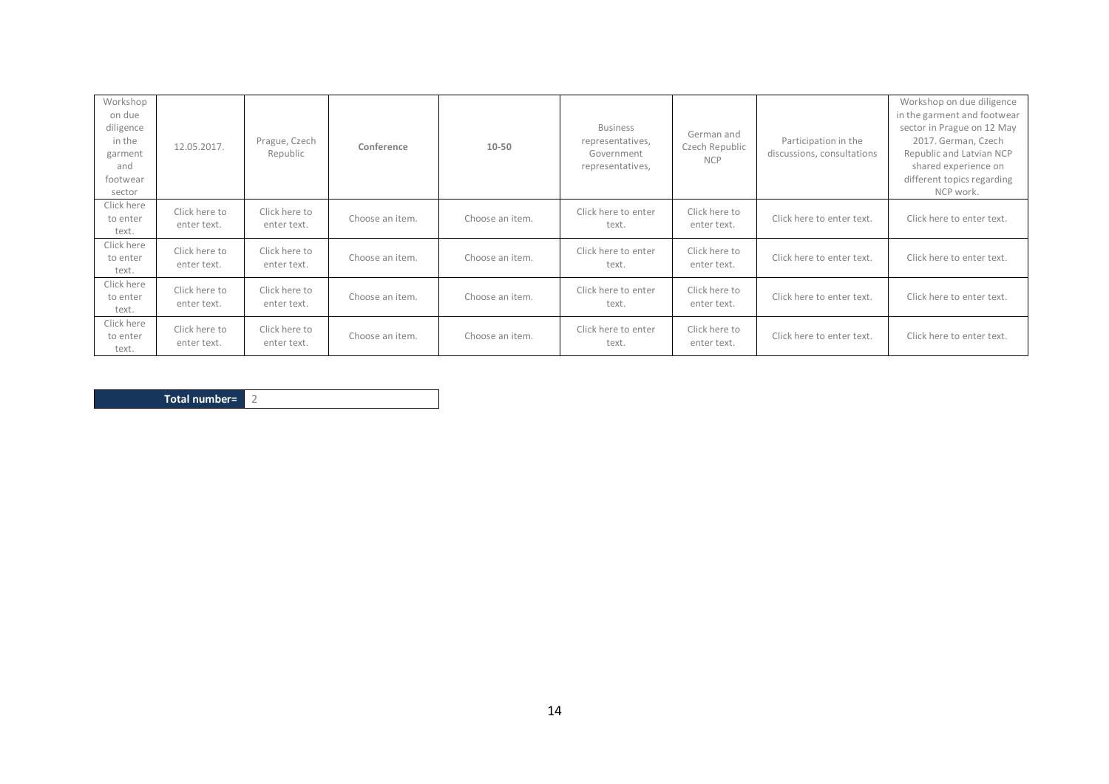| Workshop<br>on due<br>diligence<br>in the<br>garment<br>and<br>footwear<br>sector | 12.05.2017.                  | Prague, Czech<br>Republic    | Conference      | 10-50           | <b>Business</b><br>representatives,<br>Government<br>representatives, | German and<br>Czech Republic<br><b>NCP</b> | Participation in the<br>discussions, consultations | Workshop on due diligence<br>in the garment and footwear<br>sector in Prague on 12 May<br>2017. German, Czech<br>Republic and Latvian NCP<br>shared experience on<br>different topics regarding<br>NCP work. |
|-----------------------------------------------------------------------------------|------------------------------|------------------------------|-----------------|-----------------|-----------------------------------------------------------------------|--------------------------------------------|----------------------------------------------------|--------------------------------------------------------------------------------------------------------------------------------------------------------------------------------------------------------------|
| Click here<br>to enter<br>text.                                                   | Click here to<br>enter text. | Click here to<br>enter text. | Choose an item. | Choose an item. | Click here to enter<br>text.                                          | Click here to<br>enter text.               | Click here to enter text.                          | Click here to enter text.                                                                                                                                                                                    |
| Click here<br>to enter<br>text.                                                   | Click here to<br>enter text. | Click here to<br>enter text. | Choose an item. | Choose an item. | Click here to enter<br>text.                                          | Click here to<br>enter text.               | Click here to enter text.                          | Click here to enter text.                                                                                                                                                                                    |
| Click here<br>to enter<br>text.                                                   | Click here to<br>enter text. | Click here to<br>enter text. | Choose an item. | Choose an item. | Click here to enter<br>text.                                          | Click here to<br>enter text.               | Click here to enter text.                          | Click here to enter text.                                                                                                                                                                                    |
| Click here<br>to enter<br>text.                                                   | Click here to<br>enter text. | Click here to<br>enter text. | Choose an item. | Choose an item. | Click here to enter<br>text.                                          | Click here to<br>enter text.               | Click here to enter text.                          | Click here to enter text.                                                                                                                                                                                    |

| Total number= |  |
|---------------|--|
|---------------|--|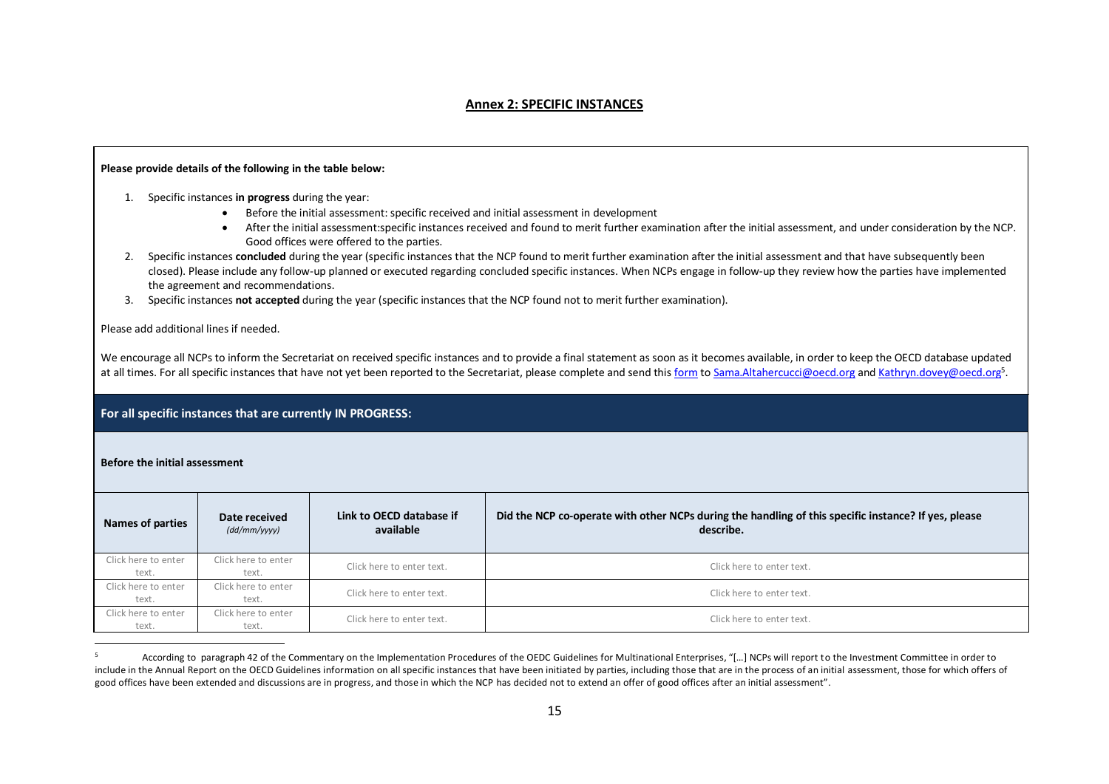#### **Annex 2: SPECIFIC INSTANCES**

#### **Please provide details of the following in the table below:**

- 1. Specific instances **in progress** during the year:
	- Before the initial assessment: specific received and initial assessment in development
	- After the initial assessment:specific instances received and found to merit further examination after the initial assessment, and under consideration by the NCP. Good offices were offered to the parties.
- 2. Specific instances **concluded** during the year (specific instances that the NCP found to merit further examination after the initial assessment and that have subsequently been closed). Please include any follow-up planned or executed regarding concluded specific instances. When NCPs engage in follow-up they review how the parties have implemented the agreement and recommendations.
- 3. Specific instances **not accepted** during the year (specific instances that the NCP found not to merit further examination).

Please add additional lines if needed.

We encourage all NCPs to inform the Secretariat on received specific instances and to provide a final statement as soon as it becomes available, in order to keep the OECD database updated at all times. For all specific instances that have not yet been reported to the Secretariat, please complete and send this <u>form</u> to <u>Sama.Altahercucci@oecd.org</u> and <u>[Kathryn.dovey@oecd.org](mailto:Kathryn.dovey@oecd.org)</u>5.

#### **For all specific instances that are currently IN PROGRESS:**

#### **Before the initial assessment**

 $\overline{a}$ 

| Names of parties    | Date received<br>(dd/mm/yyyy) | Link to OECD database if<br>available | Did the NCP co-operate with other NCPs during the handling of this specific instance? If yes, please<br>describe. |  |  |  |
|---------------------|-------------------------------|---------------------------------------|-------------------------------------------------------------------------------------------------------------------|--|--|--|
|                     |                               |                                       |                                                                                                                   |  |  |  |
| Click here to enter | Click here to enter           | Click here to enter text.             | Click here to enter text.                                                                                         |  |  |  |
| text.               | text.                         |                                       |                                                                                                                   |  |  |  |
| Click here to enter | Click here to enter           | Click here to enter text.             |                                                                                                                   |  |  |  |
| text.               | text.                         |                                       | Click here to enter text.                                                                                         |  |  |  |
| Click here to enter | Click here to enter           |                                       |                                                                                                                   |  |  |  |
| text.               | text.                         | Click here to enter text.             | Click here to enter text.                                                                                         |  |  |  |

<sup>5</sup> According to paragraph 42 of the Commentary on the Implementation Procedures of the OEDC Guidelines for Multinational Enterprises, "[…] NCPs will report to the Investment Committee in order to include in the Annual Report on the OECD Guidelines information on all specific instances that have been initiated by parties, including those that are in the process of an initial assessment, those for which offers of good offices have been extended and discussions are in progress, and those in which the NCP has decided not to extend an offer of good offices after an initial assessment".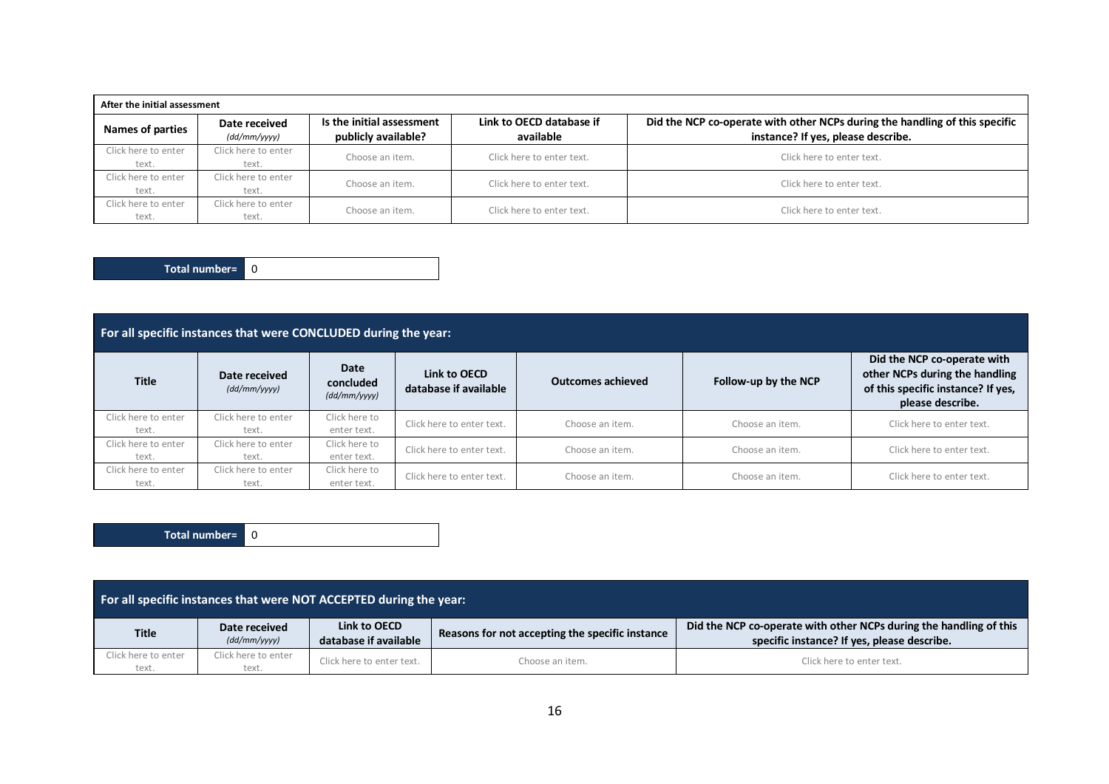| After the initial assessment |                                     |                                                  |                                       |                                                                                                                   |  |  |  |
|------------------------------|-------------------------------------|--------------------------------------------------|---------------------------------------|-------------------------------------------------------------------------------------------------------------------|--|--|--|
| Names of parties             | Date received<br>$(dd/mm/$ yyyy $)$ | Is the initial assessment<br>publicly available? | Link to OECD database if<br>available | Did the NCP co-operate with other NCPs during the handling of this specific<br>instance? If yes, please describe. |  |  |  |
| Click here to enter<br>text. | Click here to enter<br>text.        | Choose an item.                                  | Click here to enter text.             | Click here to enter text.                                                                                         |  |  |  |
| Click here to enter<br>text. | Click here to enter<br>text.        | Choose an item.                                  | Click here to enter text.             | Click here to enter text.                                                                                         |  |  |  |
| Click here to enter<br>text. | Click here to enter<br>text.        | Choose an item.                                  | Click here to enter text.             | Click here to enter text.                                                                                         |  |  |  |

**Total number=** 0

| For all specific instances that were CONCLUDED during the year: |                               |                                   |                                       |                          |                      |                                                                                                                         |
|-----------------------------------------------------------------|-------------------------------|-----------------------------------|---------------------------------------|--------------------------|----------------------|-------------------------------------------------------------------------------------------------------------------------|
| <b>Title</b>                                                    | Date received<br>(dd/mm/yyyy) | Date<br>concluded<br>(dd/mm/yyyy) | Link to OECD<br>database if available | <b>Outcomes achieved</b> | Follow-up by the NCP | Did the NCP co-operate with<br>other NCPs during the handling<br>of this specific instance? If yes,<br>please describe. |
| Click here to enter<br>text.                                    | Click here to enter<br>text.  | Click here to<br>enter text.      | Click here to enter text.             | Choose an item.          | Choose an item.      | Click here to enter text.                                                                                               |
| Click here to enter<br>text.                                    | Click here to enter<br>text.  | Click here to<br>enter text.      | Click here to enter text.             | Choose an item.          | Choose an item.      | Click here to enter text.                                                                                               |
| Click here to enter<br>text.                                    | Click here to enter<br>text.  | Click here to<br>enter text.      | Click here to enter text.             | Choose an item.          | Choose an item.      | Click here to enter text.                                                                                               |

**Total number=** 0

| For all specific instances that were NOT ACCEPTED during the year: |                               |                                       |                                                 |                                                                                                                   |  |  |
|--------------------------------------------------------------------|-------------------------------|---------------------------------------|-------------------------------------------------|-------------------------------------------------------------------------------------------------------------------|--|--|
| <b>Title</b>                                                       | Date received<br>(dd/mm/yyyy) | Link to OECD<br>database if available | Reasons for not accepting the specific instance | Did the NCP co-operate with other NCPs during the handling of this<br>specific instance? If yes, please describe. |  |  |
| Click here to enter<br>text.                                       | Click here to enter<br>text.  | Click here to enter text.             | Choose an item.                                 | Click here to enter text.                                                                                         |  |  |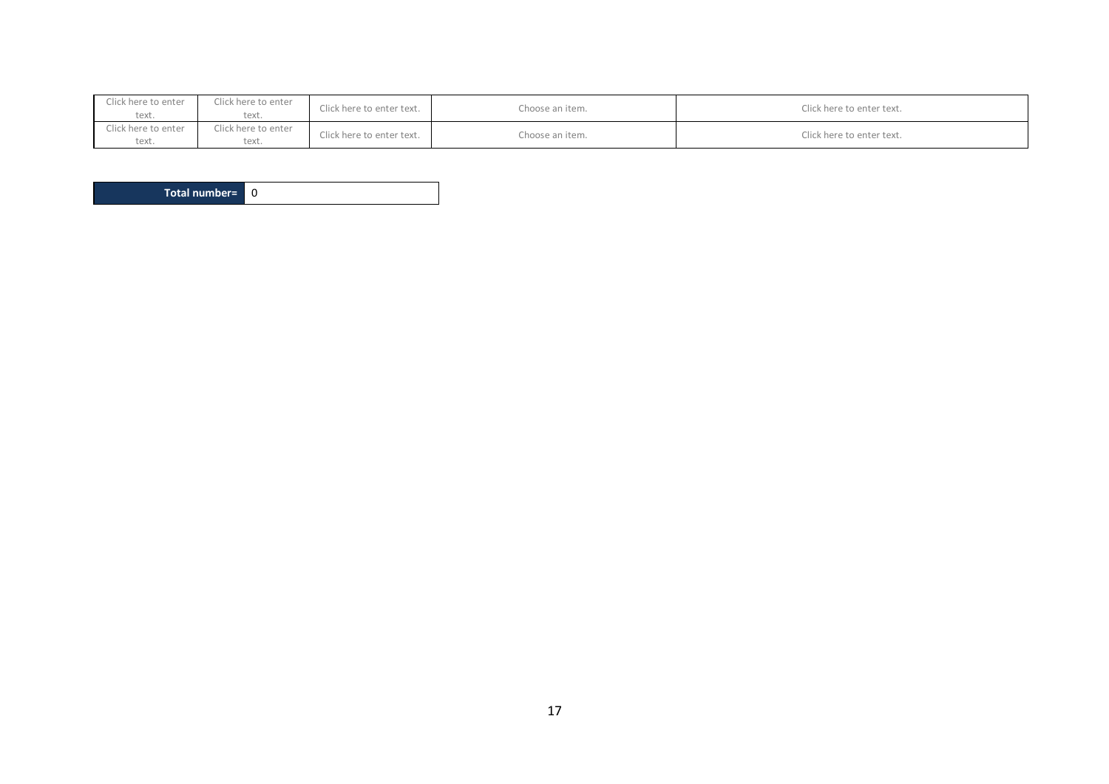| Click here to enter<br>text. | Click here to enter<br>text. | Click here to enter text. | Choose an item. | Click here to enter text. |
|------------------------------|------------------------------|---------------------------|-----------------|---------------------------|
| Click here to enter<br>text. | Click here to enter<br>text. | Click here to enter text. | Choose an item. | Click here to enter text. |

**Total number=** 0